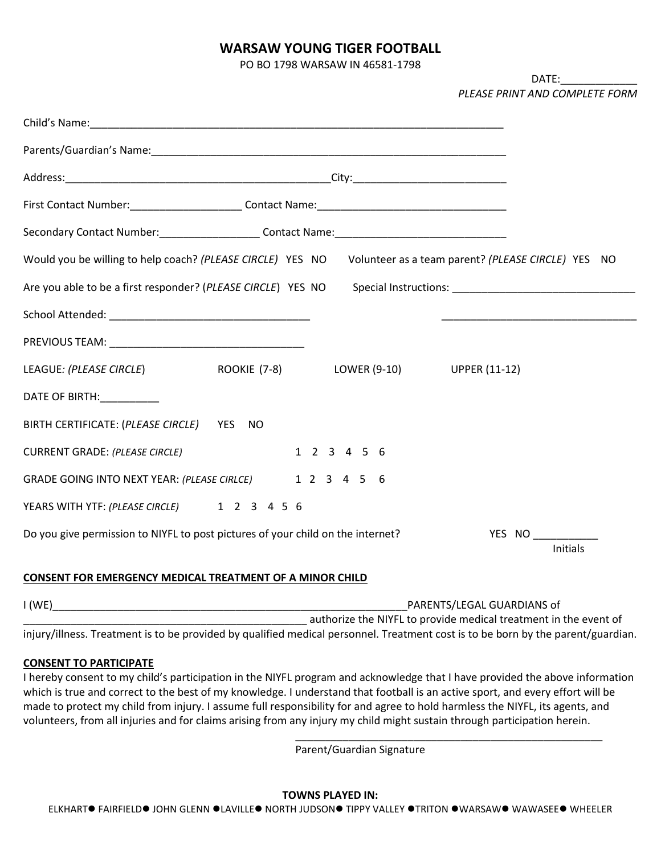# **WARSAW YOUNG TIGER FOOTBALL**

PO BO 1798 WARSAW IN 46581-1798

DATE:\_\_\_\_\_\_\_\_\_\_\_\_\_ *PLEASE PRINT AND COMPLETE FORM*

| Secondary Contact Number: _________________________Contact Name: __________________________________                  |             |                 |
|----------------------------------------------------------------------------------------------------------------------|-------------|-----------------|
| Would you be willing to help coach? (PLEASE CIRCLE) YES NO Volunteer as a team parent? (PLEASE CIRCLE) YES NO        |             |                 |
| Are you able to be a first responder? (PLEASE CIRCLE) YES NO Special Instructions: ___________________________       |             |                 |
|                                                                                                                      |             |                 |
|                                                                                                                      |             |                 |
| LEAGUE: (PLEASE CIRCLE)                           ROOKIE (7-8)               LOWER (9-10)              UPPER (11-12) |             |                 |
| DATE OF BIRTH: ___________                                                                                           |             |                 |
| BIRTH CERTIFICATE: (PLEASE CIRCLE) YES NO                                                                            |             |                 |
| <b>CURRENT GRADE: (PLEASE CIRCLE)</b>                                                                                | 1 2 3 4 5 6 |                 |
| GRADE GOING INTO NEXT YEAR: (PLEASE CIRLCE) 1 2 3 4 5 6                                                              |             |                 |
| YEARS WITH YTF: (PLEASE CIRCLE) 1 2 3 4 5 6                                                                          |             |                 |
| Do you give permission to NIYFL to post pictures of your child on the internet?                                      |             | YES NO          |
|                                                                                                                      |             | <b>Initials</b> |

#### **CONSENT FOR EMERGENCY MEDICAL TREATMENT OF A MINOR CHILD**

| I(WE) | PARENTS/LEGAL GUARDIANS of                                                                                                       |
|-------|----------------------------------------------------------------------------------------------------------------------------------|
|       | authorize the NIYFL to provide medical treatment in the event of                                                                 |
|       | injury/illness. Treatment is to be provided by qualified medical personnel. Treatment cost is to be born by the parent/guardian. |

#### **CONSENT TO PARTICIPATE**

I hereby consent to my child's participation in the NIYFL program and acknowledge that I have provided the above information which is true and correct to the best of my knowledge. I understand that football is an active sport, and every effort will be made to protect my child from injury. I assume full responsibility for and agree to hold harmless the NIYFL, its agents, and volunteers, from all injuries and for claims arising from any injury my child might sustain through participation herein.

Parent/Guardian Signature

\_\_\_\_\_\_\_\_\_\_\_\_\_\_\_\_\_\_\_\_\_\_\_\_\_\_\_\_\_\_\_\_\_\_\_\_\_\_\_\_\_\_\_\_\_\_\_\_\_\_\_\_